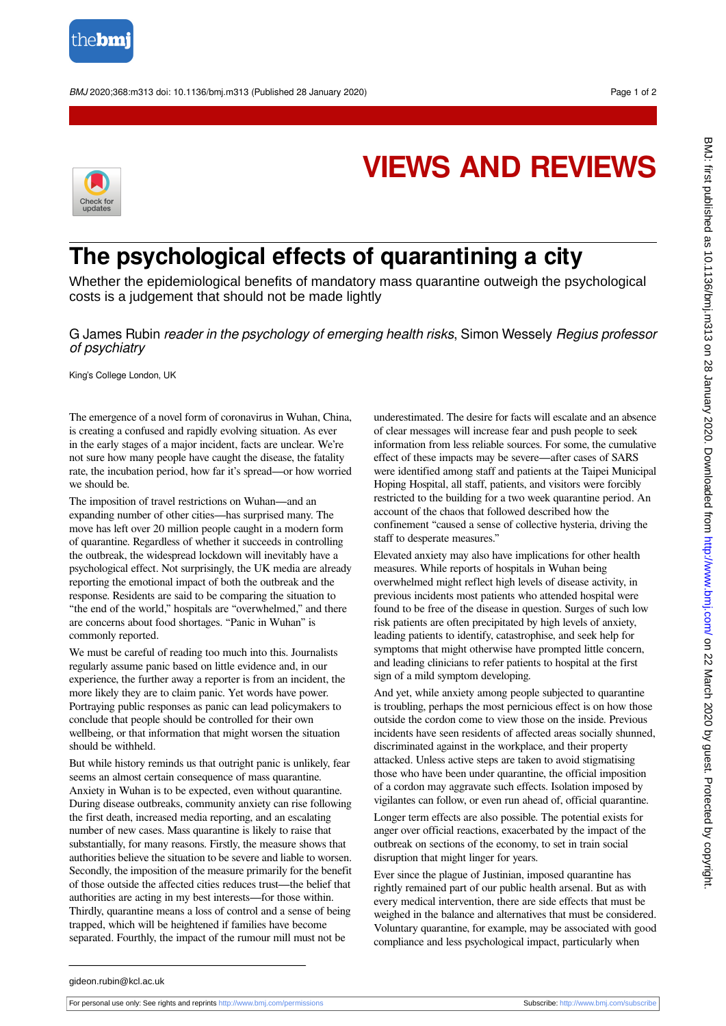

BMJ 2020;368:m313 doi: 10.1136/bmj.m313 (Published 28 January 2020) example to the state of 2



## **VIEWS AND REVIEWS**

## **The psychological effects of quarantining a city**

Whether the epidemiological benefits of mandatory mass quarantine outweigh the psychological costs is a judgement that should not be made lightly

G James Rubin reader in the psychology of emerging health risks, Simon Wessely Regius professor of psychiatry

King's College London, UK

The emergence of a novel form of coronavirus in Wuhan, China, is creating a confused and rapidly evolving situation. As ever in the early stages of a major incident, facts are unclear. We're not sure how many people have caught the disease, the fatality rate, the incubation period, how far it's spread—or how worried we should be.

The imposition of travel restrictions on Wuhan—and an expanding number of other cities—has surprised many. The move has left over 20 million people caught in a modern form of quarantine. Regardless of whether it succeeds in controlling the outbreak, the widespread lockdown will inevitably have a psychological effect. Not surprisingly, the UK media are already reporting the emotional impact of both the outbreak and the response. Residents are said to be comparing the situation to "the end of the world," hospitals are "overwhelmed," and there are concerns about food shortages. "Panic in Wuhan" is commonly reported.

We must be careful of reading too much into this. Journalists regularly assume panic based on little evidence and, in our experience, the further away a reporter is from an incident, the more likely they are to claim panic. Yet words have power. Portraying public responses as panic can lead policymakers to conclude that people should be controlled for their own wellbeing, or that information that might worsen the situation should be withheld.

But while history reminds us that outright panic is unlikely, fear seems an almost certain consequence of mass quarantine. Anxiety in Wuhan is to be expected, even without quarantine. During disease outbreaks, community anxiety can rise following the first death, increased media reporting, and an escalating number of new cases. Mass quarantine is likely to raise that substantially, for many reasons. Firstly, the measure shows that authorities believe the situation to be severe and liable to worsen. Secondly, the imposition of the measure primarily for the benefit of those outside the affected cities reduces trust—the belief that authorities are acting in my best interests—for those within. Thirdly, quarantine means a loss of control and a sense of being trapped, which will be heightened if families have become separated. Fourthly, the impact of the rumour mill must not be

underestimated. The desire for facts will escalate and an absence of clear messages will increase fear and push people to seek information from less reliable sources. For some, the cumulative effect of these impacts may be severe—after cases of SARS were identified among staff and patients at the Taipei Municipal Hoping Hospital, all staff, patients, and visitors were forcibly restricted to the building for a two week quarantine period. An account of the chaos that followed described how the confinement "caused a sense of collective hysteria, driving the staff to desperate measures."

Elevated anxiety may also have implications for other health measures. While reports of hospitals in Wuhan being overwhelmed might reflect high levels of disease activity, in previous incidents most patients who attended hospital were found to be free of the disease in question. Surges of such low risk patients are often precipitated by high levels of anxiety, leading patients to identify, catastrophise, and seek help for symptoms that might otherwise have prompted little concern, and leading clinicians to refer patients to hospital at the first sign of a mild symptom developing.

And yet, while anxiety among people subjected to quarantine is troubling, perhaps the most pernicious effect is on how those outside the cordon come to view those on the inside. Previous incidents have seen residents of affected areas socially shunned, discriminated against in the workplace, and their property attacked. Unless active steps are taken to avoid stigmatising those who have been under quarantine, the official imposition of a cordon may aggravate such effects. Isolation imposed by vigilantes can follow, or even run ahead of, official quarantine.

Longer term effects are also possible. The potential exists for anger over official reactions, exacerbated by the impact of the outbreak on sections of the economy, to set in train social disruption that might linger for years.

Ever since the plague of Justinian, imposed quarantine has rightly remained part of our public health arsenal. But as with every medical intervention, there are side effects that must be weighed in the balance and alternatives that must be considered. Voluntary quarantine, for example, may be associated with good compliance and less psychological impact, particularly when